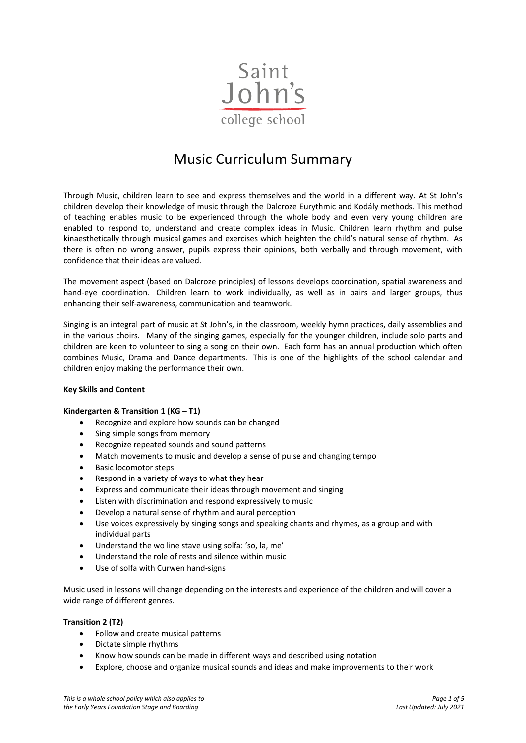

# Music Curriculum Summary

Through Music, children learn to see and express themselves and the world in a different way. At St John's children develop their knowledge of music through the Dalcroze Eurythmic and Kodály methods. This method of teaching enables music to be experienced through the whole body and even very young children are enabled to respond to, understand and create complex ideas in Music. Children learn rhythm and pulse kinaesthetically through musical games and exercises which heighten the child's natural sense of rhythm. As there is often no wrong answer, pupils express their opinions, both verbally and through movement, with confidence that their ideas are valued.

The movement aspect (based on Dalcroze principles) of lessons develops coordination, spatial awareness and hand-eye coordination. Children learn to work individually, as well as in pairs and larger groups, thus enhancing their self-awareness, communication and teamwork.

Singing is an integral part of music at St John's, in the classroom, weekly hymn practices, daily assemblies and in the various choirs. Many of the singing games, especially for the younger children, include solo parts and children are keen to volunteer to sing a song on their own. Each form has an annual production which often combines Music, Drama and Dance departments. This is one of the highlights of the school calendar and children enjoy making the performance their own.

## **Key Skills and Content**

## **Kindergarten & Transition 1 (KG – T1)**

- Recognize and explore how sounds can be changed
- Sing simple songs from memory
- Recognize repeated sounds and sound patterns
- Match movements to music and develop a sense of pulse and changing tempo
- Basic locomotor steps
- Respond in a variety of ways to what they hear
- Express and communicate their ideas through movement and singing
- Listen with discrimination and respond expressively to music
- Develop a natural sense of rhythm and aural perception
- Use voices expressively by singing songs and speaking chants and rhymes, as a group and with individual parts
- Understand the wo line stave using solfa: 'so, la, me'
- Understand the role of rests and silence within music
- Use of solfa with Curwen hand-signs

Music used in lessons will change depending on the interests and experience of the children and will cover a wide range of different genres.

## **Transition 2 (T2)**

- Follow and create musical patterns
- Dictate simple rhythms
- Know how sounds can be made in different ways and described using notation
- Explore, choose and organize musical sounds and ideas and make improvements to their work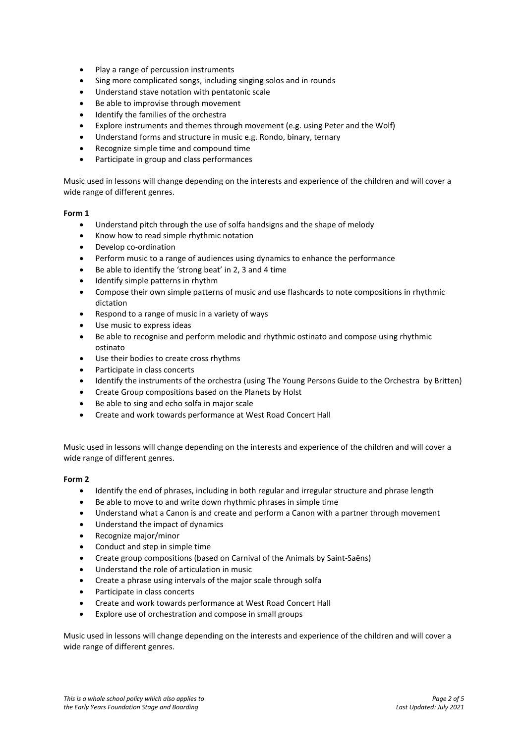- Play a range of percussion instruments
- Sing more complicated songs, including singing solos and in rounds
- Understand stave notation with pentatonic scale
- Be able to improvise through movement
- Identify the families of the orchestra
- Explore instruments and themes through movement (e.g. using Peter and the Wolf)
- Understand forms and structure in music e.g. Rondo, binary, ternary
- Recognize simple time and compound time
- Participate in group and class performances

Music used in lessons will change depending on the interests and experience of the children and will cover a wide range of different genres.

#### **Form 1**

- Understand pitch through the use of solfa handsigns and the shape of melody
- Know how to read simple rhythmic notation
- Develop co-ordination
- Perform music to a range of audiences using dynamics to enhance the performance
- Be able to identify the 'strong beat' in 2, 3 and 4 time
- Identify simple patterns in rhythm
- Compose their own simple patterns of music and use flashcards to note compositions in rhythmic dictation
- Respond to a range of music in a variety of ways
- Use music to express ideas
- Be able to recognise and perform melodic and rhythmic ostinato and compose using rhythmic ostinato
- Use their bodies to create cross rhythms
- Participate in class concerts
- Identify the instruments of the orchestra (using The Young Persons Guide to the Orchestra by Britten)
- Create Group compositions based on the Planets by Holst
- Be able to sing and echo solfa in major scale
- Create and work towards performance at West Road Concert Hall

Music used in lessons will change depending on the interests and experience of the children and will cover a wide range of different genres.

## **Form 2**

- Identify the end of phrases, including in both regular and irregular structure and phrase length
- Be able to move to and write down rhythmic phrases in simple time
- Understand what a Canon is and create and perform a Canon with a partner through movement
- Understand the impact of dynamics
- Recognize major/minor
- Conduct and step in simple time
- Create group compositions (based on Carnival of the Animals by Saint-Saëns)
- Understand the role of articulation in music
- Create a phrase using intervals of the major scale through solfa
- Participate in class concerts
- Create and work towards performance at West Road Concert Hall
- Explore use of orchestration and compose in small groups

Music used in lessons will change depending on the interests and experience of the children and will cover a wide range of different genres.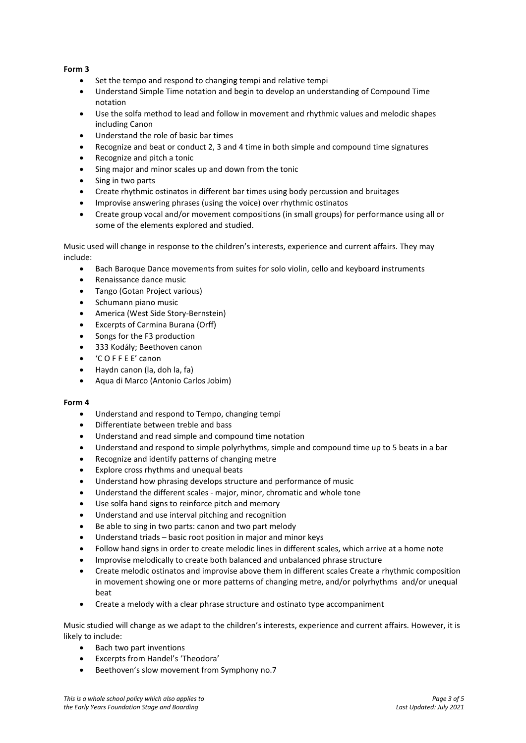## **Form 3**

- Set the tempo and respond to changing tempi and relative tempi
- Understand Simple Time notation and begin to develop an understanding of Compound Time notation
- Use the solfa method to lead and follow in movement and rhythmic values and melodic shapes including Canon
- Understand the role of basic bar times
- Recognize and beat or conduct 2, 3 and 4 time in both simple and compound time signatures
- Recognize and pitch a tonic
- Sing major and minor scales up and down from the tonic
- Sing in two parts
- Create rhythmic ostinatos in different bar times using body percussion and bruitages
- Improvise answering phrases (using the voice) over rhythmic ostinatos
- Create group vocal and/or movement compositions (in small groups) for performance using all or some of the elements explored and studied.

Music used will change in response to the children's interests, experience and current affairs. They may include:

- Bach Baroque Dance movements from suites for solo violin, cello and keyboard instruments
- Renaissance dance music
- Tango (Gotan Project various)
- Schumann piano music
- America (West Side Story-Bernstein)
- Excerpts of Carmina Burana (Orff)
- Songs for the F3 production
- 333 Kodály; Beethoven canon
- 'C O F F E E' canon
- Haydn canon (la, doh la, fa)
- Aqua di Marco (Antonio Carlos Jobim)

## **Form 4**

- Understand and respond to Tempo, changing tempi
- Differentiate between treble and bass
- Understand and read simple and compound time notation
- Understand and respond to simple polyrhythms, simple and compound time up to 5 beats in a bar
- Recognize and identify patterns of changing metre
- Explore cross rhythms and unequal beats
- Understand how phrasing develops structure and performance of music
- Understand the different scales major, minor, chromatic and whole tone
- Use solfa hand signs to reinforce pitch and memory
- Understand and use interval pitching and recognition
- Be able to sing in two parts: canon and two part melody
- Understand triads basic root position in major and minor keys
- Follow hand signs in order to create melodic lines in different scales, which arrive at a home note
- Improvise melodically to create both balanced and unbalanced phrase structure
- Create melodic ostinatos and improvise above them in different scales Create a rhythmic composition in movement showing one or more patterns of changing metre, and/or polyrhythms and/or unequal beat
- Create a melody with a clear phrase structure and ostinato type accompaniment

Music studied will change as we adapt to the children's interests, experience and current affairs. However, it is likely to include:

- Bach two part inventions
- Excerpts from Handel's 'Theodora'
- Beethoven's slow movement from Symphony no.7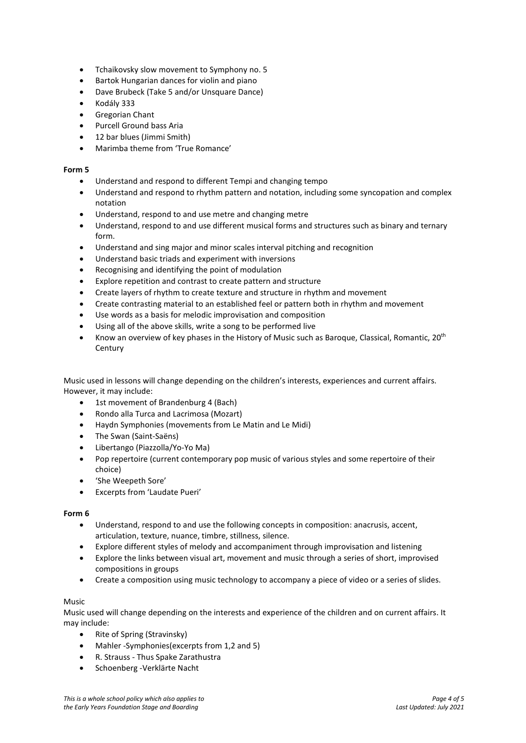- Tchaikovsky slow movement to Symphony no. 5
- Bartok Hungarian dances for violin and piano
- Dave Brubeck (Take 5 and/or Unsquare Dance)
- Kodály 333
- Gregorian Chant
- Purcell Ground bass Aria
- 12 bar blues (Jimmi Smith)
- Marimba theme from 'True Romance'

#### **Form 5**

- Understand and respond to different Tempi and changing tempo
- Understand and respond to rhythm pattern and notation, including some syncopation and complex notation
- Understand, respond to and use metre and changing metre
- Understand, respond to and use different musical forms and structures such as binary and ternary form.
- Understand and sing major and minor scales interval pitching and recognition
- Understand basic triads and experiment with inversions
- Recognising and identifying the point of modulation
- Explore repetition and contrast to create pattern and structure
- Create layers of rhythm to create texture and structure in rhythm and movement
- Create contrasting material to an established feel or pattern both in rhythm and movement
- Use words as a basis for melodic improvisation and composition
- Using all of the above skills, write a song to be performed live
- Know an overview of key phases in the History of Music such as Baroque, Classical, Romantic, 20th **Century**

Music used in lessons will change depending on the children's interests, experiences and current affairs. However, it may include:

- 1st movement of Brandenburg 4 (Bach)
- Rondo alla Turca and Lacrimosa (Mozart)
- Haydn Symphonies (movements from Le Matin and Le Midi)
- The Swan (Saint-Saëns)
- Libertango (Piazzolla/Yo-Yo Ma)
- Pop repertoire (current contemporary pop music of various styles and some repertoire of their choice)
- 'She Weepeth Sore'
- Excerpts from 'Laudate Pueri'

#### **Form 6**

- Understand, respond to and use the following concepts in composition: anacrusis, accent, articulation, texture, nuance, timbre, stillness, silence.
- Explore different styles of melody and accompaniment through improvisation and listening
- Explore the links between visual art, movement and music through a series of short, improvised compositions in groups
- Create a composition using music technology to accompany a piece of video or a series of slides.

## Music

Music used will change depending on the interests and experience of the children and on current affairs. It may include:

- Rite of Spring (Stravinsky)
- Mahler -Symphonies(excerpts from 1,2 and 5)
- R. Strauss Thus Spake Zarathustra
- Schoenberg -Verklärte Nacht